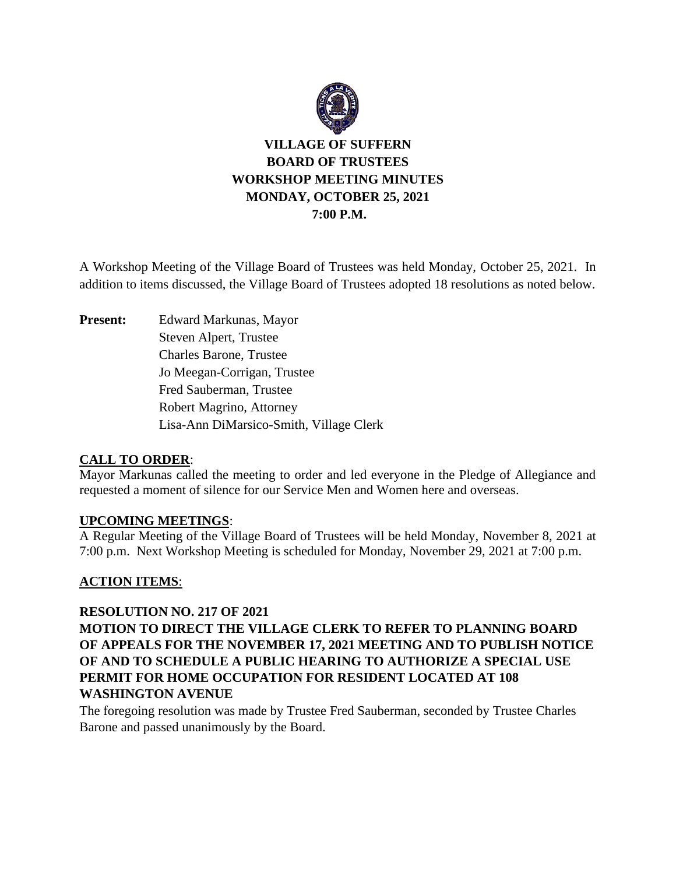

# **VILLAGE OF SUFFERN BOARD OF TRUSTEES WORKSHOP MEETING MINUTES MONDAY, OCTOBER 25, 2021 7:00 P.M.**

A Workshop Meeting of the Village Board of Trustees was held Monday, October 25, 2021. In addition to items discussed, the Village Board of Trustees adopted 18 resolutions as noted below.

**Present:** Edward Markunas, Mayor Steven Alpert, Trustee Charles Barone, Trustee Jo Meegan-Corrigan, Trustee Fred Sauberman, Trustee Robert Magrino, Attorney Lisa-Ann DiMarsico-Smith, Village Clerk

#### **CALL TO ORDER**:

Mayor Markunas called the meeting to order and led everyone in the Pledge of Allegiance and requested a moment of silence for our Service Men and Women here and overseas.

#### **UPCOMING MEETINGS**:

A Regular Meeting of the Village Board of Trustees will be held Monday, November 8, 2021 at 7:00 p.m. Next Workshop Meeting is scheduled for Monday, November 29, 2021 at 7:00 p.m.

## **ACTION ITEMS**:

#### **RESOLUTION NO. 217 OF 2021**

## **MOTION TO DIRECT THE VILLAGE CLERK TO REFER TO PLANNING BOARD OF APPEALS FOR THE NOVEMBER 17, 2021 MEETING AND TO PUBLISH NOTICE OF AND TO SCHEDULE A PUBLIC HEARING TO AUTHORIZE A SPECIAL USE PERMIT FOR HOME OCCUPATION FOR RESIDENT LOCATED AT 108 WASHINGTON AVENUE**

The foregoing resolution was made by Trustee Fred Sauberman, seconded by Trustee Charles Barone and passed unanimously by the Board.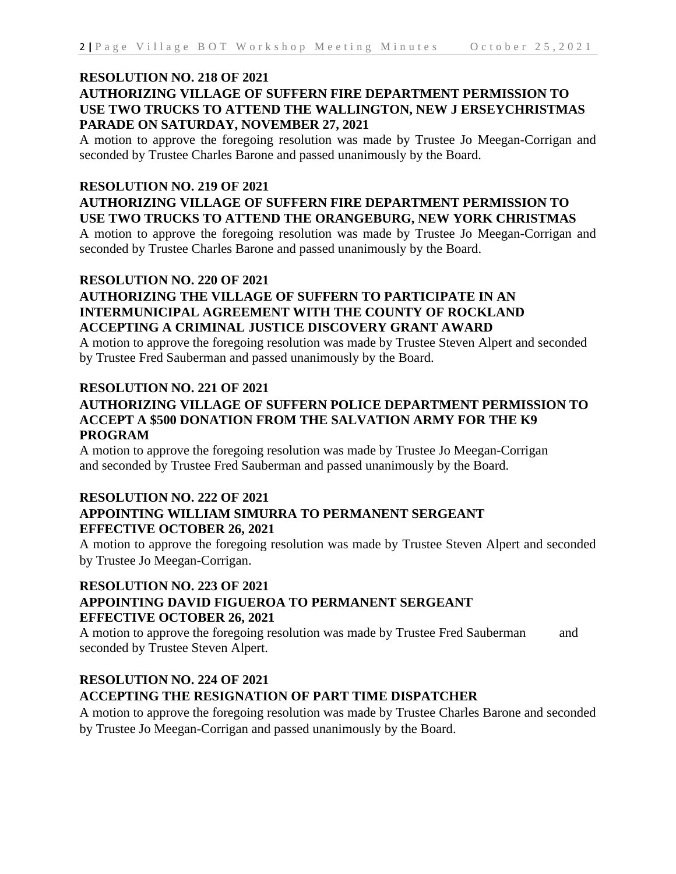## **AUTHORIZING VILLAGE OF SUFFERN FIRE DEPARTMENT PERMISSION TO USE TWO TRUCKS TO ATTEND THE WALLINGTON, NEW J ERSEYCHRISTMAS PARADE ON SATURDAY, NOVEMBER 27, 2021**

A motion to approve the foregoing resolution was made by Trustee Jo Meegan-Corrigan and seconded by Trustee Charles Barone and passed unanimously by the Board.

#### **RESOLUTION NO. 219 OF 2021**

## **AUTHORIZING VILLAGE OF SUFFERN FIRE DEPARTMENT PERMISSION TO USE TWO TRUCKS TO ATTEND THE ORANGEBURG, NEW YORK CHRISTMAS**

A motion to approve the foregoing resolution was made by Trustee Jo Meegan-Corrigan and seconded by Trustee Charles Barone and passed unanimously by the Board.

#### **RESOLUTION NO. 220 OF 2021**

## **AUTHORIZING THE VILLAGE OF SUFFERN TO PARTICIPATE IN AN INTERMUNICIPAL AGREEMENT WITH THE COUNTY OF ROCKLAND ACCEPTING A CRIMINAL JUSTICE DISCOVERY GRANT AWARD**

A motion to approve the foregoing resolution was made by Trustee Steven Alpert and seconded by Trustee Fred Sauberman and passed unanimously by the Board.

#### **RESOLUTION NO. 221 OF 2021**

## **AUTHORIZING VILLAGE OF SUFFERN POLICE DEPARTMENT PERMISSION TO ACCEPT A \$500 DONATION FROM THE SALVATION ARMY FOR THE K9 PROGRAM**

A motion to approve the foregoing resolution was made by Trustee Jo Meegan-Corrigan and seconded by Trustee Fred Sauberman and passed unanimously by the Board.

## **RESOLUTION NO. 222 OF 2021 APPOINTING WILLIAM SIMURRA TO PERMANENT SERGEANT EFFECTIVE OCTOBER 26, 2021**

A motion to approve the foregoing resolution was made by Trustee Steven Alpert and seconded by Trustee Jo Meegan-Corrigan.

## **RESOLUTION NO. 223 OF 2021 APPOINTING DAVID FIGUEROA TO PERMANENT SERGEANT EFFECTIVE OCTOBER 26, 2021**

A motion to approve the foregoing resolution was made by Trustee Fred Sauberman and seconded by Trustee Steven Alpert.

## **RESOLUTION NO. 224 OF 2021 ACCEPTING THE RESIGNATION OF PART TIME DISPATCHER**

A motion to approve the foregoing resolution was made by Trustee Charles Barone and seconded by Trustee Jo Meegan-Corrigan and passed unanimously by the Board.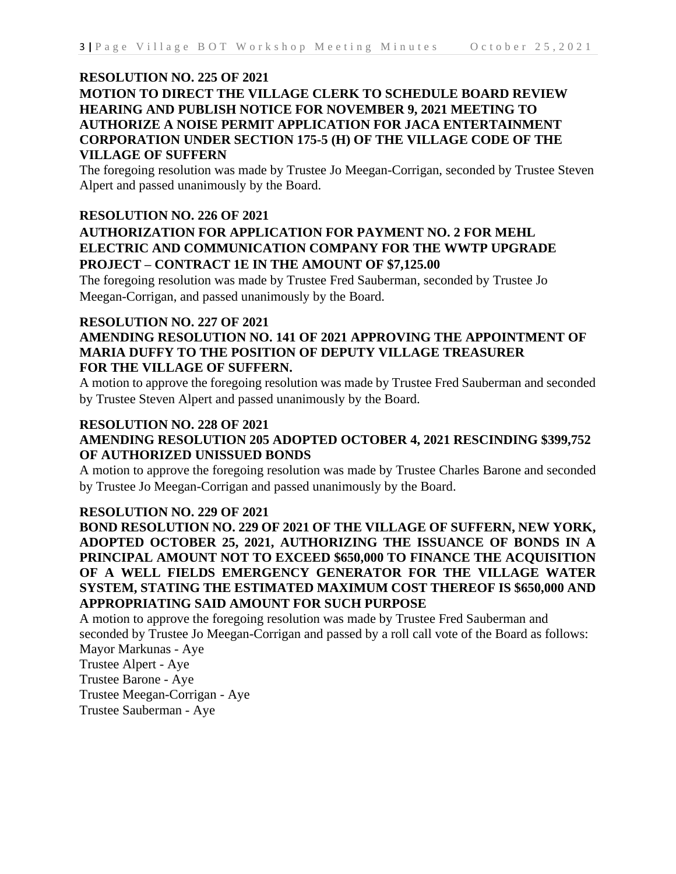## **RESOLUTION NO. 225 OF 2021**

## **MOTION TO DIRECT THE VILLAGE CLERK TO SCHEDULE BOARD REVIEW HEARING AND PUBLISH NOTICE FOR NOVEMBER 9, 2021 MEETING TO AUTHORIZE A NOISE PERMIT APPLICATION FOR JACA ENTERTAINMENT CORPORATION UNDER SECTION 175-5 (H) OF THE VILLAGE CODE OF THE VILLAGE OF SUFFERN**

The foregoing resolution was made by Trustee Jo Meegan-Corrigan, seconded by Trustee Steven Alpert and passed unanimously by the Board.

## **RESOLUTION NO. 226 OF 2021 AUTHORIZATION FOR APPLICATION FOR PAYMENT NO. 2 FOR MEHL ELECTRIC AND COMMUNICATION COMPANY FOR THE WWTP UPGRADE PROJECT – CONTRACT 1E IN THE AMOUNT OF \$7,125.00**

The foregoing resolution was made by Trustee Fred Sauberman, seconded by Trustee Jo Meegan-Corrigan, and passed unanimously by the Board.

## **RESOLUTION NO. 227 OF 2021**

## **AMENDING RESOLUTION NO. 141 OF 2021 APPROVING THE APPOINTMENT OF MARIA DUFFY TO THE POSITION OF DEPUTY VILLAGE TREASURER FOR THE VILLAGE OF SUFFERN.**

A motion to approve the foregoing resolution was made by Trustee Fred Sauberman and seconded by Trustee Steven Alpert and passed unanimously by the Board.

#### **RESOLUTION NO. 228 OF 2021**

## **AMENDING RESOLUTION 205 ADOPTED OCTOBER 4, 2021 RESCINDING \$399,752 OF AUTHORIZED UNISSUED BONDS**

A motion to approve the foregoing resolution was made by Trustee Charles Barone and seconded by Trustee Jo Meegan-Corrigan and passed unanimously by the Board.

#### **RESOLUTION NO. 229 OF 2021**

**BOND RESOLUTION NO. 229 OF 2021 OF THE VILLAGE OF SUFFERN, NEW YORK, ADOPTED OCTOBER 25, 2021, AUTHORIZING THE ISSUANCE OF BONDS IN A PRINCIPAL AMOUNT NOT TO EXCEED \$650,000 TO FINANCE THE ACQUISITION OF A WELL FIELDS EMERGENCY GENERATOR FOR THE VILLAGE WATER SYSTEM, STATING THE ESTIMATED MAXIMUM COST THEREOF IS \$650,000 AND APPROPRIATING SAID AMOUNT FOR SUCH PURPOSE**

A motion to approve the foregoing resolution was made by Trustee Fred Sauberman and seconded by Trustee Jo Meegan-Corrigan and passed by a roll call vote of the Board as follows: Mayor Markunas - Aye Trustee Alpert - Aye Trustee Barone - Aye

Trustee Meegan-Corrigan - Aye

Trustee Sauberman - Aye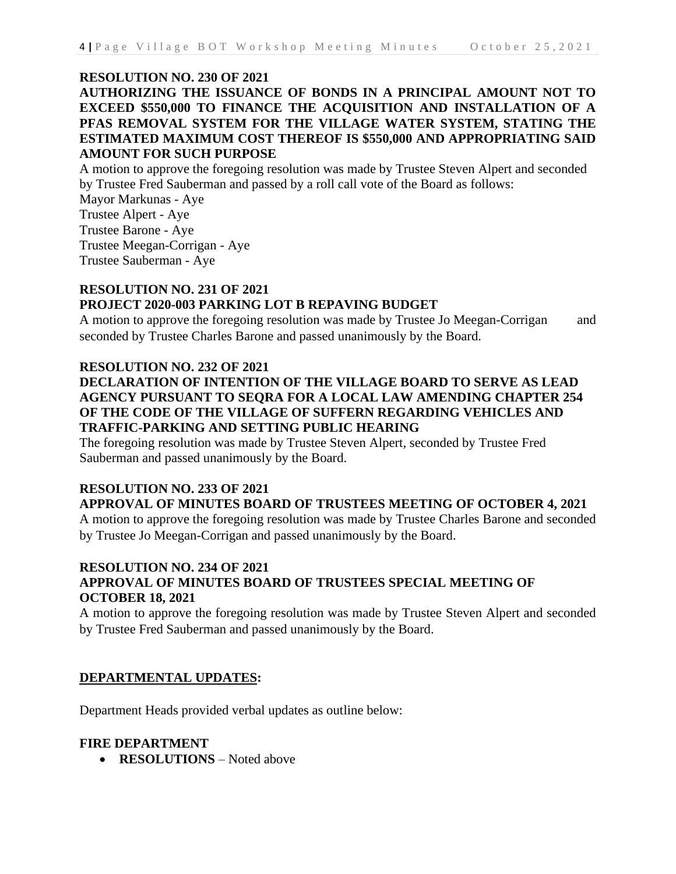## **RESOLUTION NO. 230 OF 2021**

## **AUTHORIZING THE ISSUANCE OF BONDS IN A PRINCIPAL AMOUNT NOT TO EXCEED \$550,000 TO FINANCE THE ACQUISITION AND INSTALLATION OF A PFAS REMOVAL SYSTEM FOR THE VILLAGE WATER SYSTEM, STATING THE ESTIMATED MAXIMUM COST THEREOF IS \$550,000 AND APPROPRIATING SAID AMOUNT FOR SUCH PURPOSE**

A motion to approve the foregoing resolution was made by Trustee Steven Alpert and seconded by Trustee Fred Sauberman and passed by a roll call vote of the Board as follows:

Mayor Markunas - Aye Trustee Alpert - Aye Trustee Barone - Aye Trustee Meegan-Corrigan - Aye Trustee Sauberman - Aye

## **RESOLUTION NO. 231 OF 2021 PROJECT 2020-003 PARKING LOT B REPAVING BUDGET**

A motion to approve the foregoing resolution was made by Trustee Jo Meegan-Corrigan and seconded by Trustee Charles Barone and passed unanimously by the Board.

#### **RESOLUTION NO. 232 OF 2021**

## **DECLARATION OF INTENTION OF THE VILLAGE BOARD TO SERVE AS LEAD AGENCY PURSUANT TO SEQRA FOR A LOCAL LAW AMENDING CHAPTER 254 OF THE CODE OF THE VILLAGE OF SUFFERN REGARDING VEHICLES AND TRAFFIC-PARKING AND SETTING PUBLIC HEARING**

The foregoing resolution was made by Trustee Steven Alpert, seconded by Trustee Fred Sauberman and passed unanimously by the Board.

## **RESOLUTION NO. 233 OF 2021 APPROVAL OF MINUTES BOARD OF TRUSTEES MEETING OF OCTOBER 4, 2021**

A motion to approve the foregoing resolution was made by Trustee Charles Barone and seconded by Trustee Jo Meegan-Corrigan and passed unanimously by the Board.

## **RESOLUTION NO. 234 OF 2021 APPROVAL OF MINUTES BOARD OF TRUSTEES SPECIAL MEETING OF OCTOBER 18, 2021**

A motion to approve the foregoing resolution was made by Trustee Steven Alpert and seconded by Trustee Fred Sauberman and passed unanimously by the Board.

## **DEPARTMENTAL UPDATES:**

Department Heads provided verbal updates as outline below:

#### **FIRE DEPARTMENT**

• **RESOLUTIONS** – Noted above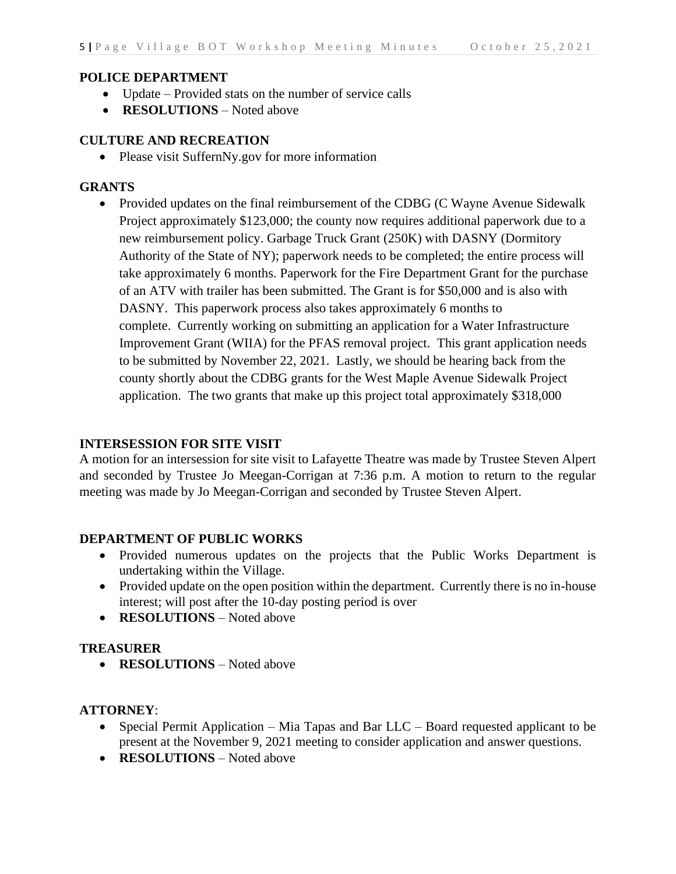## **POLICE DEPARTMENT**

- Update Provided stats on the number of service calls
- **RESOLUTIONS** Noted above

## **CULTURE AND RECREATION**

• Please visit SuffernNy.gov for more information

### **GRANTS**

• Provided updates on the final reimbursement of the CDBG (C Wayne Avenue Sidewalk Project approximately \$123,000; the county now requires additional paperwork due to a new reimbursement policy. Garbage Truck Grant (250K) with DASNY (Dormitory Authority of the State of NY); paperwork needs to be completed; the entire process will take approximately 6 months. Paperwork for the Fire Department Grant for the purchase of an ATV with trailer has been submitted. The Grant is for \$50,000 and is also with DASNY. This paperwork process also takes approximately 6 months to complete. Currently working on submitting an application for a Water Infrastructure Improvement Grant (WIIA) for the PFAS removal project. This grant application needs to be submitted by November 22, 2021. Lastly, we should be hearing back from the county shortly about the CDBG grants for the West Maple Avenue Sidewalk Project application. The two grants that make up this project total approximately \$318,000

### **INTERSESSION FOR SITE VISIT**

A motion for an intersession for site visit to Lafayette Theatre was made by Trustee Steven Alpert and seconded by Trustee Jo Meegan-Corrigan at 7:36 p.m. A motion to return to the regular meeting was made by Jo Meegan-Corrigan and seconded by Trustee Steven Alpert.

#### **DEPARTMENT OF PUBLIC WORKS**

- Provided numerous updates on the projects that the Public Works Department is undertaking within the Village.
- Provided update on the open position within the department. Currently there is no in-house interest; will post after the 10-day posting period is over
- **RESOLUTIONS** Noted above

#### **TREASURER**

• **RESOLUTIONS** – Noted above

## **ATTORNEY**:

- Special Permit Application Mia Tapas and Bar  $LLC Board$  requested applicant to be present at the November 9, 2021 meeting to consider application and answer questions.
- **RESOLUTIONS** Noted above